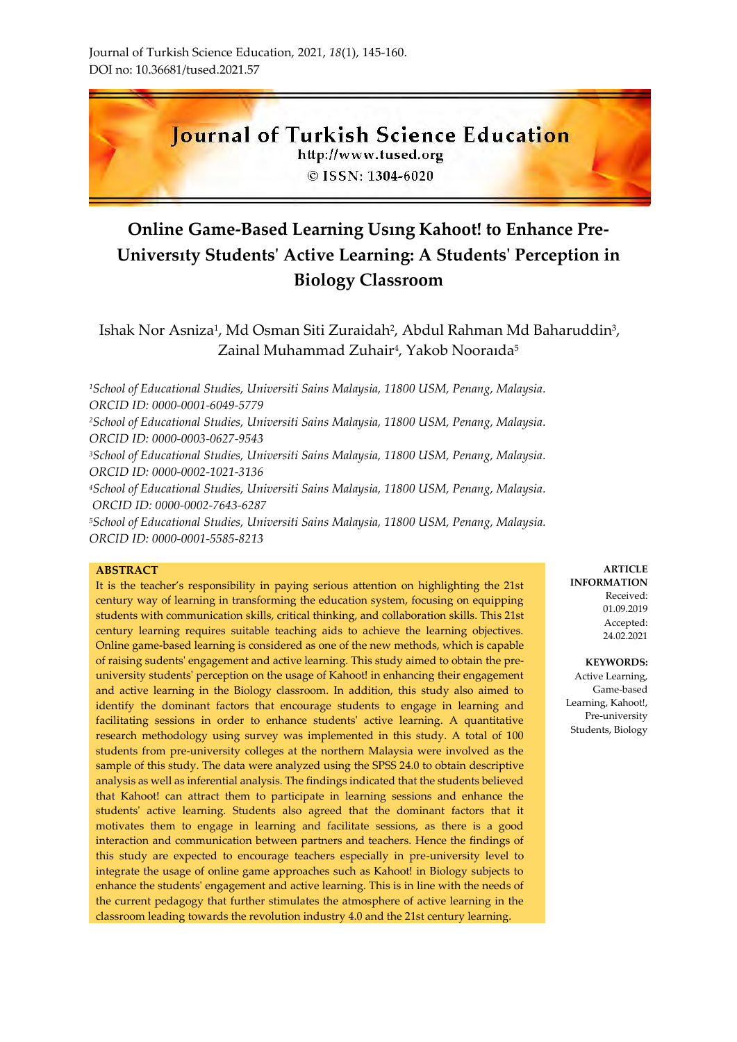**Journal of Turkish Science Education** http://www.tused.org © ISSN: 1304-6020

# **Online Game-Based Learning Usıng Kahoot! to Enhance Pre-Universıty Students' Active Learning: A Students' Perception in Biology Classroom**

Ishak Nor Asniza<sup>1</sup>, Md Osman Siti Zuraidah<sup>2</sup>, Abdul Rahman Md Baharuddin<sup>3</sup>, Zainal Muhammad Zuhair<sup>4</sup>, Yakob Nooraıda<sup>5</sup>

*<sup>1</sup>School of Educational Studies, Universiti Sains Malaysia, 11800 USM, Penang, Malaysia. ORCID ID: 0000-0001-6049-5779*

*<sup>2</sup>School of Educational Studies, Universiti Sains Malaysia, 11800 USM, Penang, Malaysia. ORCID ID: 0000-0003-0627-9543*

*<sup>3</sup>School of Educational Studies, Universiti Sains Malaysia, 11800 USM, Penang, Malaysia. ORCID ID: 0000-0002-1021-3136*

*<sup>4</sup>School of Educational Studies, Universiti Sains Malaysia, 11800 USM, Penang, Malaysia. ORCID ID: 0000-0002-7643-6287*

*<sup>5</sup>School of Educational Studies, Universiti Sains Malaysia, 11800 USM, Penang, Malaysia. ORCID ID: 0000-0001-5585-8213*

#### **ABSTRACT**

It is the teacher's responsibility in paying serious attention on highlighting the 21st century way of learning in transforming the education system, focusing on equipping students with communication skills, critical thinking, and collaboration skills. This 21st century learning requires suitable teaching aids to achieve the learning objectives. Online game-based learning is considered as one of the new methods, which is capable of raising sudents' engagement and active learning. This study aimed to obtain the preuniversity students' perception on the usage of Kahoot! in enhancing their engagement and active learning in the Biology classroom. In addition, this study also aimed to identify the dominant factors that encourage students to engage in learning and facilitating sessions in order to enhance students' active learning. A quantitative research methodology using survey was implemented in this study. A total of 100 students from pre-university colleges at the northern Malaysia were involved as the sample of this study. The data were analyzed using the SPSS 24.0 to obtain descriptive analysis as well as inferential analysis. The findings indicated that the students believed that Kahoot! can attract them to participate in learning sessions and enhance the students' active learning. Students also agreed that the dominant factors that it motivates them to engage in learning and facilitate sessions, as there is a good interaction and communication between partners and teachers. Hence the findings of this study are expected to encourage teachers especially in pre-university level to integrate the usage of online game approaches such as Kahoot! in Biology subjects to enhance the students' engagement and active learning. This is in line with the needs of the current pedagogy that further stimulates the atmosphere of active learning in the classroom leading towards the revolution industry 4.0 and the 21st century learning.

**ARTICLE INFORMATION** Received: 01.09.2019 Accepted: 24.02.2021

**KEYWORDS:** Active Learning, Game-based Learning, Kahoot!, Pre-university Students, Biology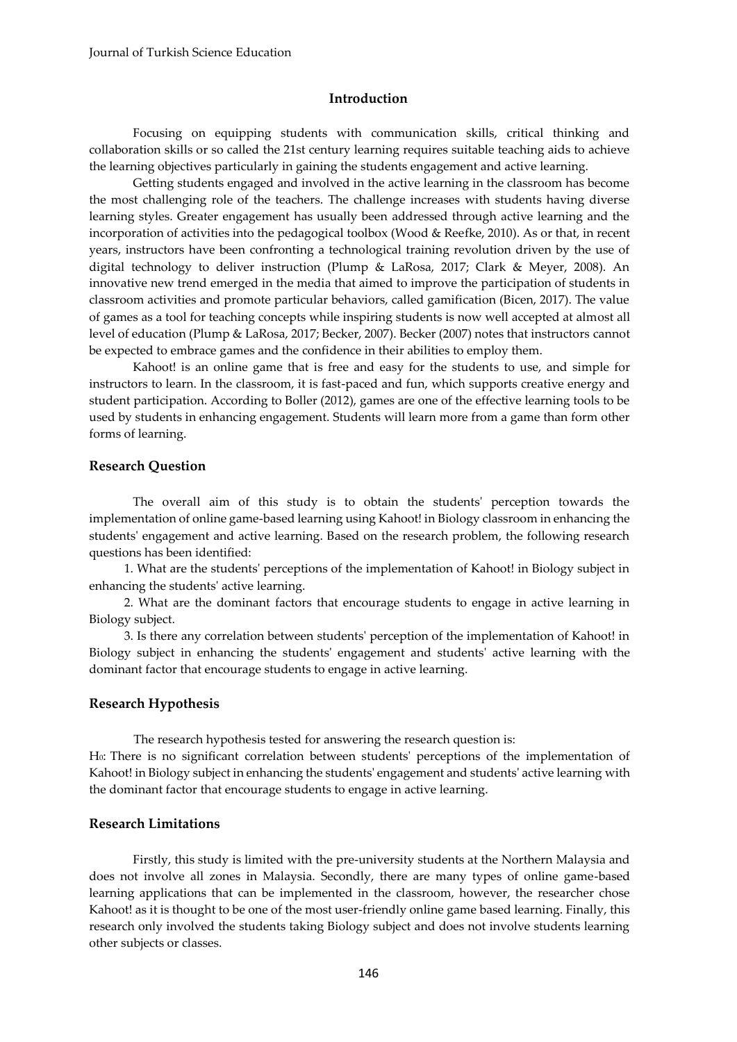### **Introduction**

Focusing on equipping students with communication skills, critical thinking and collaboration skills or so called the 21st century learning requires suitable teaching aids to achieve the learning objectives particularly in gaining the students engagement and active learning.

Getting students engaged and involved in the active learning in the classroom has become the most challenging role of the teachers. The challenge increases with students having diverse learning styles. Greater engagement has usually been addressed through active learning and the incorporation of activities into the pedagogical toolbox (Wood & Reefke, 2010). As or that, in recent years, instructors have been confronting a technological training revolution driven by the use of digital technology to deliver instruction (Plump & LaRosa, 2017; Clark & Meyer, 2008). An innovative new trend emerged in the media that aimed to improve the participation of students in classroom activities and promote particular behaviors, called gamification (Bicen, 2017). The value of games as a tool for teaching concepts while inspiring students is now well accepted at almost all level of education (Plump & LaRosa, 2017; Becker, 2007). Becker (2007) notes that instructors cannot be expected to embrace games and the confidence in their abilities to employ them.

Kahoot! is an online game that is free and easy for the students to use, and simple for instructors to learn. In the classroom, it is fast-paced and fun, which supports creative energy and student participation. According to Boller (2012), games are one of the effective learning tools to be used by students in enhancing engagement. Students will learn more from a game than form other forms of learning.

## **Research Question**

The overall aim of this study is to obtain the students' perception towards the implementation of online game-based learning using Kahoot! in Biology classroom in enhancing the students' engagement and active learning. Based on the research problem, the following research questions has been identified:

1. What are the students' perceptions of the implementation of Kahoot! in Biology subject in enhancing the students' active learning.

2. What are the dominant factors that encourage students to engage in active learning in Biology subject.

3. Is there any correlation between students' perception of the implementation of Kahoot! in Biology subject in enhancing the students' engagement and students' active learning with the dominant factor that encourage students to engage in active learning.

### **Research Hypothesis**

The research hypothesis tested for answering the research question is: H0: There is no significant correlation between students' perceptions of the implementation of Kahoot! in Biology subject in enhancing the students' engagement and students' active learning with the dominant factor that encourage students to engage in active learning.

## **Research Limitations**

Firstly, this study is limited with the pre-university students at the Northern Malaysia and does not involve all zones in Malaysia. Secondly, there are many types of online game-based learning applications that can be implemented in the classroom, however, the researcher chose Kahoot! as it is thought to be one of the most user-friendly online game based learning. Finally, this research only involved the students taking Biology subject and does not involve students learning other subjects or classes.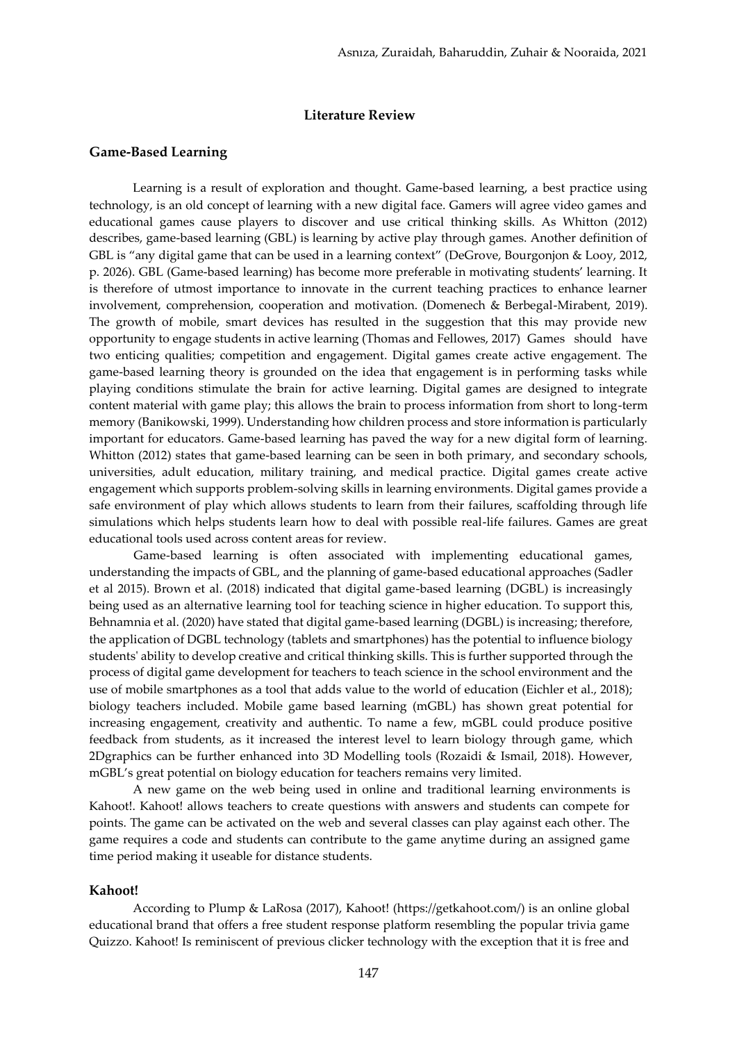### **Literature Review**

### **Game-Based Learning**

Learning is a result of exploration and thought. Game-based learning, a best practice using technology, is an old concept of learning with a new digital face. Gamers will agree video games and educational games cause players to discover and use critical thinking skills. As Whitton (2012) describes, game-based learning (GBL) is learning by active play through games. Another definition of GBL is "any digital game that can be used in a learning context" (DeGrove, Bourgonjon & Looy, 2012, p. 2026). GBL (Game-based learning) has become more preferable in motivating students' learning. It is therefore of utmost importance to innovate in the current teaching practices to enhance learner involvement, comprehension, cooperation and motivation. (Domenech & Berbegal-Mirabent, 2019). The growth of mobile, smart devices has resulted in the suggestion that this may provide new opportunity to engage students in active learning (Thomas and Fellowes, 2017) Games should have two enticing qualities; competition and engagement. Digital games create active engagement. The game-based learning theory is grounded on the idea that engagement is in performing tasks while playing conditions stimulate the brain for active learning. Digital games are designed to integrate content material with game play; this allows the brain to process information from short to long-term memory (Banikowski, 1999). Understanding how children process and store information is particularly important for educators. Game-based learning has paved the way for a new digital form of learning. Whitton (2012) states that game-based learning can be seen in both primary, and secondary schools, universities, adult education, military training, and medical practice. Digital games create active engagement which supports problem-solving skills in learning environments. Digital games provide a safe environment of play which allows students to learn from their failures, scaffolding through life simulations which helps students learn how to deal with possible real-life failures. Games are great educational tools used across content areas for review.

Game-based learning is often associated with implementing educational games, understanding the impacts of GBL, and the planning of game‐based educational approaches (Sadler et al 2015). Brown et al. (2018) indicated that digital game-based learning (DGBL) is increasingly being used as an alternative learning tool for teaching science in higher education. To support this, Behnamnia et al. (2020) have stated that digital game-based learning (DGBL) is increasing; therefore, the application of DGBL technology (tablets and smartphones) has the potential to influence biology students' ability to develop creative and critical thinking skills. This is further supported through the process of digital game development for teachers to teach science in the school environment and the use of mobile smartphones as a tool that adds value to the world of education (Eichler et al., 2018); biology teachers included. Mobile game based learning (mGBL) has shown great potential for increasing engagement, creativity and authentic. To name a few, mGBL could produce positive feedback from students, as it increased the interest level to learn biology through game, which 2Dgraphics can be further enhanced into 3D Modelling tools (Rozaidi & Ismail, 2018). However, mGBL's great potential on biology education for teachers remains very limited.

A new game on the web being used in online and traditional learning environments is Kahoot!. Kahoot! allows teachers to create questions with answers and students can compete for points. The game can be activated on the web and several classes can play against each other. The game requires a code and students can contribute to the game anytime during an assigned game time period making it useable for distance students.

### **Kahoot!**

According to Plump & LaRosa (2017), Kahoot! (https://getkahoot.com/) is an online global educational brand that offers a free student response platform resembling the popular trivia game Quizzo. Kahoot! Is reminiscent of previous clicker technology with the exception that it is free and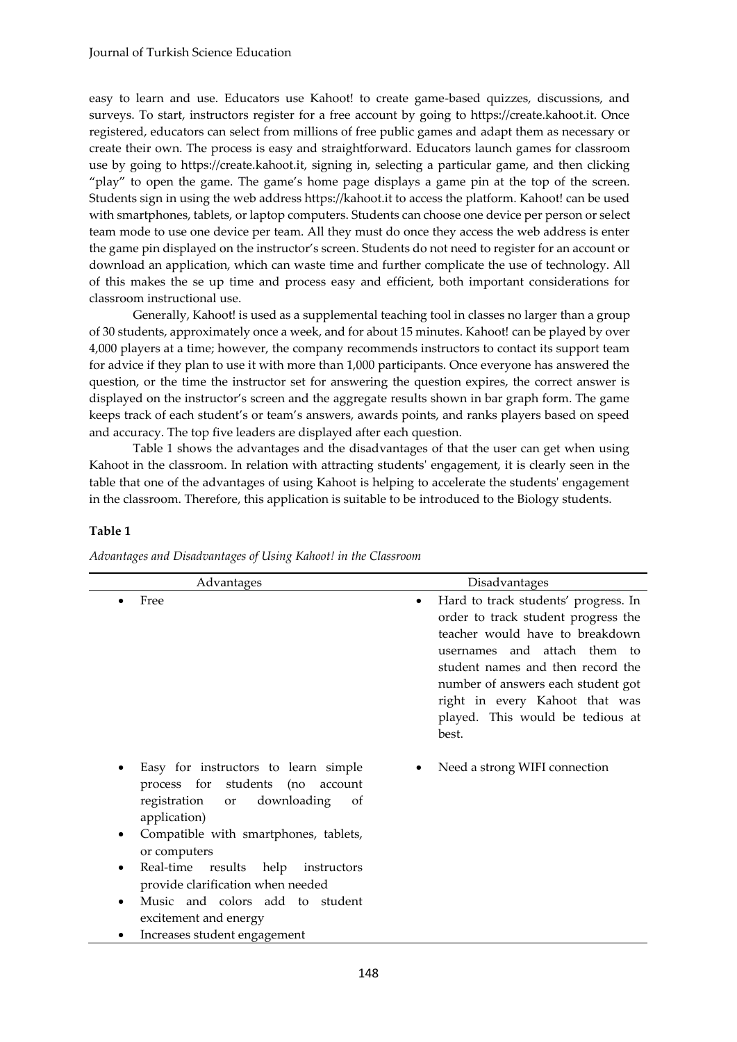easy to learn and use. Educators use Kahoot! to create game-based quizzes, discussions, and surveys. To start, instructors register for a free account by going to https://create.kahoot.it. Once registered, educators can select from millions of free public games and adapt them as necessary or create their own. The process is easy and straightforward. Educators launch games for classroom use by going to https://create.kahoot.it, signing in, selecting a particular game, and then clicking "play" to open the game. The game's home page displays a game pin at the top of the screen. Students sign in using the web address https://kahoot.it to access the platform. Kahoot! can be used with smartphones, tablets, or laptop computers. Students can choose one device per person or select team mode to use one device per team. All they must do once they access the web address is enter the game pin displayed on the instructor's screen. Students do not need to register for an account or download an application, which can waste time and further complicate the use of technology. All of this makes the se up time and process easy and efficient, both important considerations for classroom instructional use.

Generally, Kahoot! is used as a supplemental teaching tool in classes no larger than a group of 30 students, approximately once a week, and for about 15 minutes. Kahoot! can be played by over 4,000 players at a time; however, the company recommends instructors to contact its support team for advice if they plan to use it with more than 1,000 participants. Once everyone has answered the question, or the time the instructor set for answering the question expires, the correct answer is displayed on the instructor's screen and the aggregate results shown in bar graph form. The game keeps track of each student's or team's answers, awards points, and ranks players based on speed and accuracy. The top five leaders are displayed after each question.

Table 1 shows the advantages and the disadvantages of that the user can get when using Kahoot in the classroom. In relation with attracting students' engagement, it is clearly seen in the table that one of the advantages of using Kahoot is helping to accelerate the students' engagement in the classroom. Therefore, this application is suitable to be introduced to the Biology students.

### **Table 1**

| Advantages                                                                                                                                                                                                                                                                                                                                                                                        | Disadvantages                                                                                                                                                                                                                                                                                                 |
|---------------------------------------------------------------------------------------------------------------------------------------------------------------------------------------------------------------------------------------------------------------------------------------------------------------------------------------------------------------------------------------------------|---------------------------------------------------------------------------------------------------------------------------------------------------------------------------------------------------------------------------------------------------------------------------------------------------------------|
| Free                                                                                                                                                                                                                                                                                                                                                                                              | Hard to track students' progress. In<br>٠<br>order to track student progress the<br>teacher would have to breakdown<br>usernames and attach them to<br>student names and then record the<br>number of answers each student got<br>right in every Kahoot that was<br>played. This would be tedious at<br>best. |
| Easy for instructors to learn simple<br>process for students<br>(no<br>account<br>registration<br>downloading<br>of<br>or<br>application)<br>Compatible with smartphones, tablets,<br>٠<br>or computers<br>Real-time<br>results<br>help<br>instructors<br>٠<br>provide clarification when needed<br>Music and colors add to student<br>٠<br>excitement and energy<br>Increases student engagement | Need a strong WIFI connection                                                                                                                                                                                                                                                                                 |

*Advantages and Disadvantages of Using Kahoot! in the Classroom*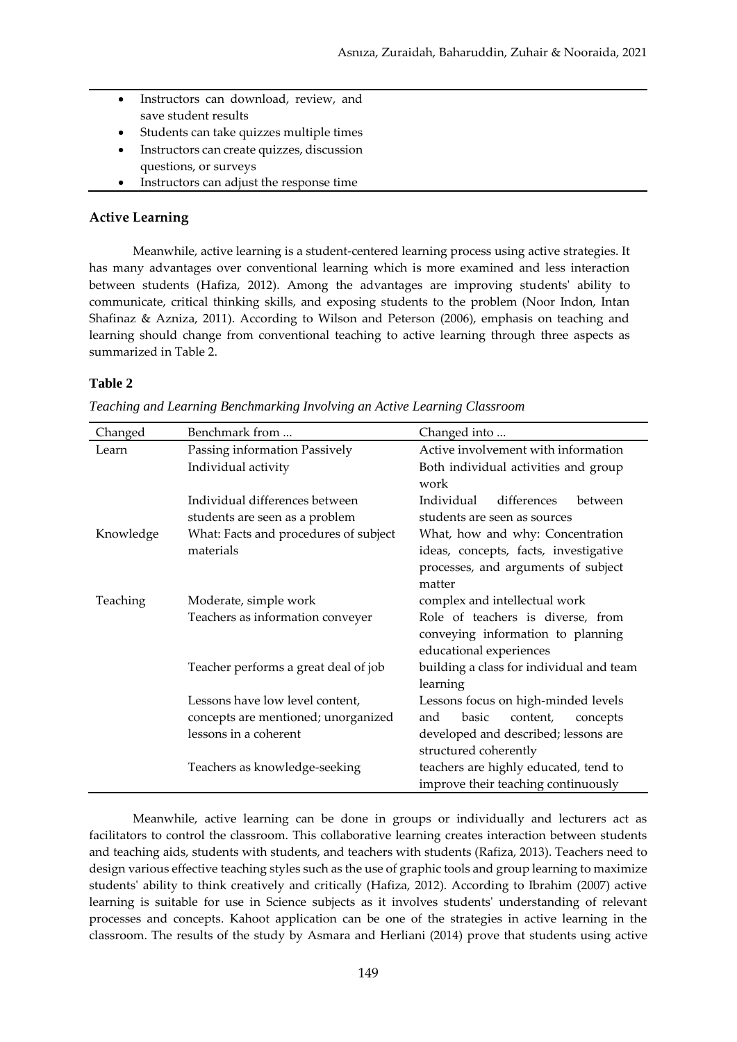- Instructors can download, review, and save student results
- Students can take quizzes multiple times
- Instructors can create quizzes, discussion questions, or surveys
- Instructors can adjust the response time

## **Active Learning**

Meanwhile, active learning is a student-centered learning process using active strategies. It has many advantages over conventional learning which is more examined and less interaction between students (Hafiza, 2012). Among the advantages are improving students' ability to communicate, critical thinking skills, and exposing students to the problem (Noor Indon, Intan Shafinaz & Azniza, 2011). According to Wilson and Peterson (2006), emphasis on teaching and learning should change from conventional teaching to active learning through three aspects as summarized in Table 2.

## **Table 2**

| Changed   | Benchmark from                        | Changed into                             |  |
|-----------|---------------------------------------|------------------------------------------|--|
| Learn     | Passing information Passively         | Active involvement with information      |  |
|           | Individual activity                   | Both individual activities and group     |  |
|           |                                       | work                                     |  |
|           | Individual differences between        | Individual<br>differences<br>between     |  |
|           | students are seen as a problem        | students are seen as sources             |  |
| Knowledge | What: Facts and procedures of subject | What, how and why: Concentration         |  |
|           | materials                             | ideas, concepts, facts, investigative    |  |
|           |                                       | processes, and arguments of subject      |  |
|           |                                       | matter                                   |  |
| Teaching  | Moderate, simple work                 | complex and intellectual work            |  |
|           | Teachers as information conveyer      | Role of teachers is diverse, from        |  |
|           |                                       | conveying information to planning        |  |
|           |                                       | educational experiences                  |  |
|           | Teacher performs a great deal of job  | building a class for individual and team |  |
|           |                                       | learning                                 |  |
|           | Lessons have low level content,       | Lessons focus on high-minded levels      |  |
|           | concepts are mentioned; unorganized   | and<br>basic<br>content,<br>concepts     |  |
|           | lessons in a coherent                 | developed and described; lessons are     |  |
|           |                                       | structured coherently                    |  |
|           | Teachers as knowledge-seeking         | teachers are highly educated, tend to    |  |
|           |                                       | improve their teaching continuously      |  |

*Teaching and Learning Benchmarking Involving an Active Learning Classroom*

Meanwhile, active learning can be done in groups or individually and lecturers act as facilitators to control the classroom. This collaborative learning creates interaction between students and teaching aids, students with students, and teachers with students (Rafiza, 2013). Teachers need to design various effective teaching styles such as the use of graphic tools and group learning to maximize students' ability to think creatively and critically (Hafiza, 2012). According to Ibrahim (2007) active learning is suitable for use in Science subjects as it involves students' understanding of relevant processes and concepts. Kahoot application can be one of the strategies in active learning in the classroom. The results of the study by Asmara and Herliani (2014) prove that students using active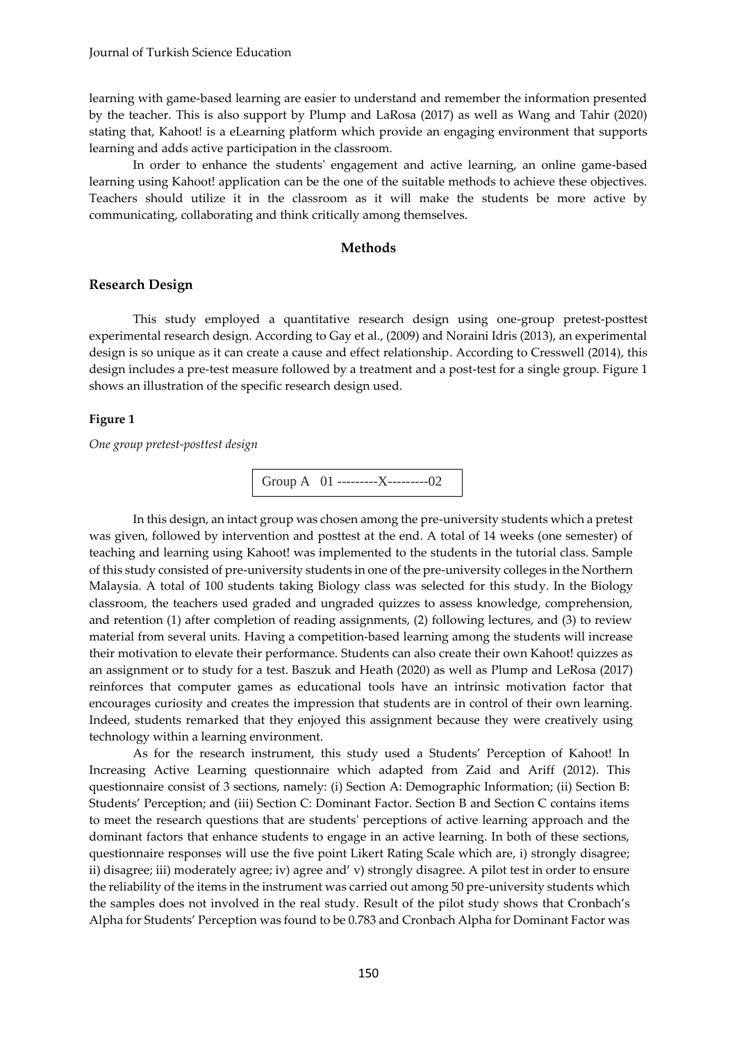learning with game-based learning are easier to understand and remember the information presented by the teacher. This is also support by Plump and LaRosa (2017) as well as Wang and Tahir (2020) stating that, Kahoot! is a eLearning platform which provide an engaging environment that supports learning and adds active participation in the classroom.

In order to enhance the students' engagement and active learning, an online game-based learning using Kahoot! application can be the one of the suitable methods to achieve these objectives. Teachers should utilize it in the classroom as it will make the students be more active by communicating, collaborating and think critically among themselves.

### **Methods**

### **Research Design**

This study employed a quantitative research design using one-group pretest-posttest experimental research design. According to Gay et al., (2009) and Noraini Idris (2013), an experimental design is so unique as it can create a cause and effect relationship. According to Cresswell (2014), this design includes a pre-test measure followed by a treatment and a post-test for a single group. Figure 1 shows an illustration of the specific research design used.

### **Figure 1**

*One group pretest-posttest design*

Group A 01 ---------X---------02

In this design, an intact group was chosen among the pre-university students which a pretest was given, followed by intervention and posttest at the end. A total of 14 weeks (one semester) of teaching and learning using Kahoot! was implemented to the students in the tutorial class. Sample of this study consisted of pre-university students in one of the pre-university colleges in the Northern Malaysia. A total of 100 students taking Biology class was selected for this study. In the Biology classroom, the teachers used graded and ungraded quizzes to assess knowledge, comprehension, and retention (1) after completion of reading assignments, (2) following lectures, and (3) to review material from several units. Having a competition-based learning among the students will increase their motivation to elevate their performance. Students can also create their own Kahoot! quizzes as an assignment or to study for a test. Baszuk and Heath (2020) as well as Plump and LeRosa (2017) reinforces that computer games as educational tools have an intrinsic motivation factor that encourages curiosity and creates the impression that students are in control of their own learning. Indeed, students remarked that they enjoyed this assignment because they were creatively using technology within a learning environment.

As for the research instrument, this study used a Students' Perception of Kahoot! In Increasing Active Learning questionnaire which adapted from Zaid and Ariff (2012). This questionnaire consist of 3 sections, namely: (i) Section A: Demographic Information; (ii) Section B: Students' Perception; and (iii) Section C: Dominant Factor. Section B and Section C contains items to meet the research questions that are students' perceptions of active learning approach and the dominant factors that enhance students to engage in an active learning. In both of these sections, questionnaire responses will use the five point Likert Rating Scale which are, i) strongly disagree; ii) disagree; iii) moderately agree; iv) agree and' v) strongly disagree. A pilot test in order to ensure the reliability of the items in the instrument was carried out among 50 pre-university students which the samples does not involved in the real study. Result of the pilot study shows that Cronbach's Alpha for Students' Perception was found to be 0.783 and Cronbach Alpha for Dominant Factor was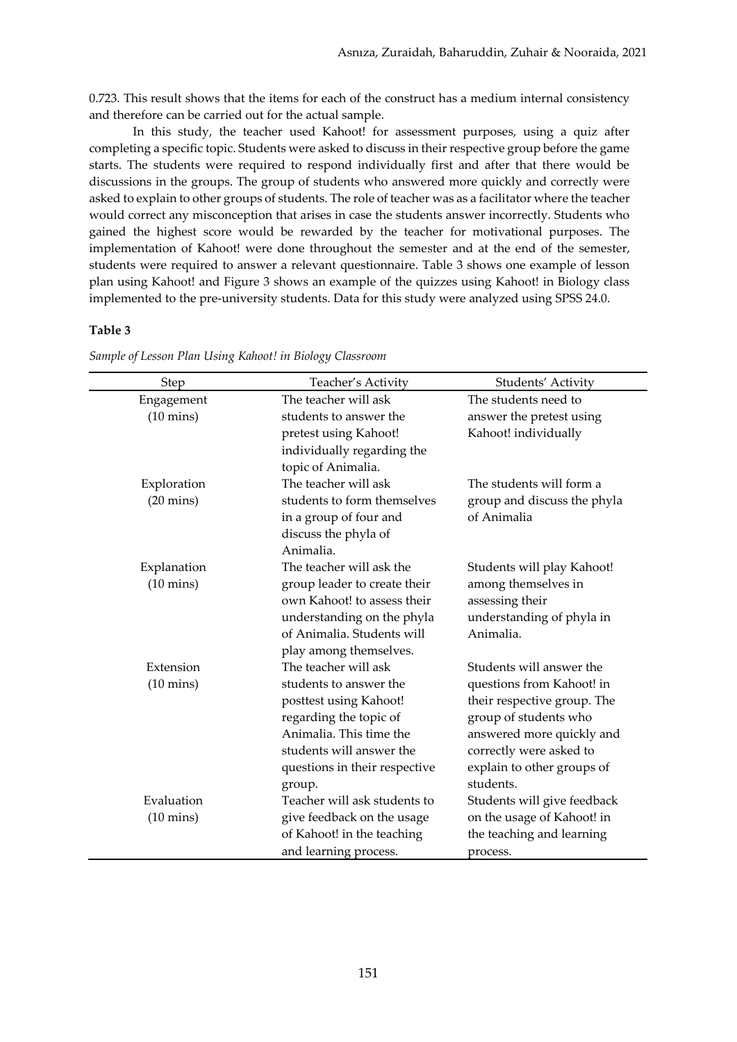0.723. This result shows that the items for each of the construct has a medium internal consistency and therefore can be carried out for the actual sample.

In this study, the teacher used Kahoot! for assessment purposes, using a quiz after completing a specific topic. Students were asked to discuss in their respective group before the game starts. The students were required to respond individually first and after that there would be discussions in the groups. The group of students who answered more quickly and correctly were asked to explain to other groups of students. The role of teacher was as a facilitator where the teacher would correct any misconception that arises in case the students answer incorrectly. Students who gained the highest score would be rewarded by the teacher for motivational purposes. The implementation of Kahoot! were done throughout the semester and at the end of the semester, students were required to answer a relevant questionnaire. Table 3 shows one example of lesson plan using Kahoot! and Figure 3 shows an example of the quizzes using Kahoot! in Biology class implemented to the pre-university students. Data for this study were analyzed using SPSS 24.0.

### **Table 3**

| Step                | Teacher's Activity            | Students' Activity          |
|---------------------|-------------------------------|-----------------------------|
| Engagement          | The teacher will ask          | The students need to        |
| $(10 \text{ mins})$ | students to answer the        | answer the pretest using    |
|                     | pretest using Kahoot!         | Kahoot! individually        |
|                     | individually regarding the    |                             |
|                     | topic of Animalia.            |                             |
| Exploration         | The teacher will ask          | The students will form a    |
| $(20 \text{ mins})$ | students to form themselves   | group and discuss the phyla |
|                     | in a group of four and        | of Animalia                 |
|                     | discuss the phyla of          |                             |
|                     | Animalia.                     |                             |
| Explanation         | The teacher will ask the      | Students will play Kahoot!  |
| $(10 \text{ mins})$ | group leader to create their  | among themselves in         |
|                     | own Kahoot! to assess their   | assessing their             |
|                     | understanding on the phyla    | understanding of phyla in   |
|                     | of Animalia. Students will    | Animalia.                   |
|                     | play among themselves.        |                             |
| Extension           | The teacher will ask          | Students will answer the    |
| $(10 \text{ mins})$ | students to answer the        | questions from Kahoot! in   |
|                     | posttest using Kahoot!        | their respective group. The |
|                     | regarding the topic of        | group of students who       |
|                     | Animalia. This time the       | answered more quickly and   |
|                     | students will answer the      | correctly were asked to     |
|                     | questions in their respective | explain to other groups of  |
|                     | group.                        | students.                   |
| Evaluation          | Teacher will ask students to  | Students will give feedback |
| $(10 \text{ mins})$ | give feedback on the usage    | on the usage of Kahoot! in  |
|                     | of Kahoot! in the teaching    | the teaching and learning   |
|                     | and learning process.         | process.                    |

*Sample of Lesson Plan Using Kahoot! in Biology Classroom*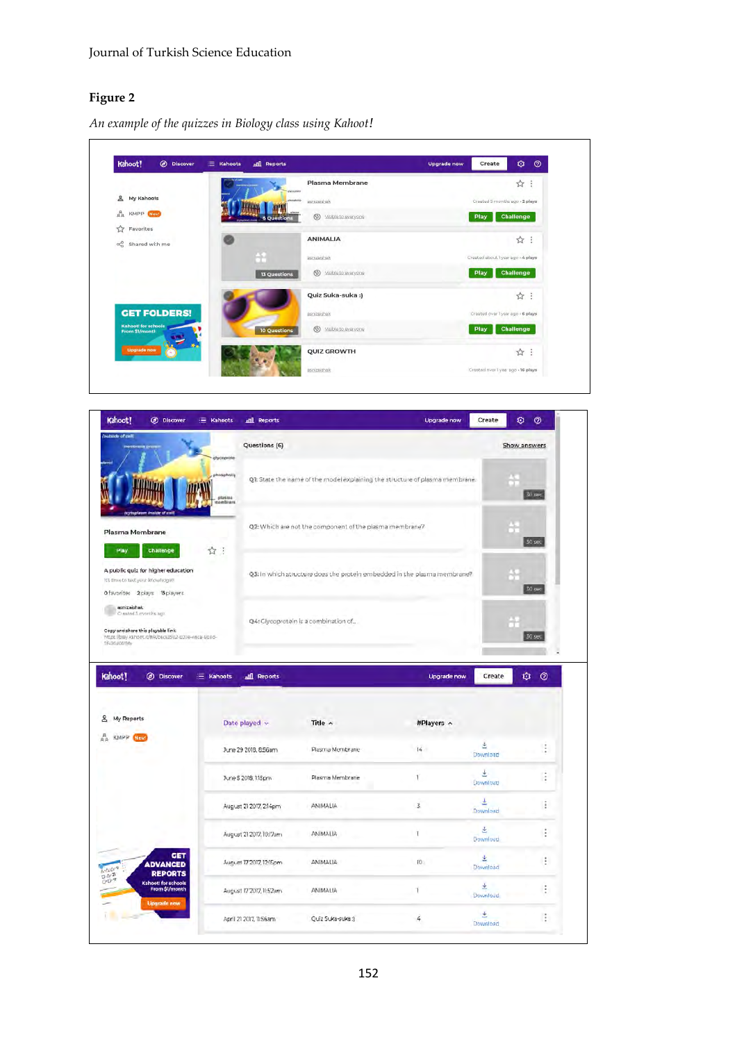## **Figure 2**

*An example of the quizzes in Biology class using Kahoot!*

| Kahoot!<br>@ Discover<br>法。<br>Kahoots           | <b>nill</b> Reports                                                              | Ø<br>$\circledcirc$<br><b>Upgrade now</b><br>Create |
|--------------------------------------------------|----------------------------------------------------------------------------------|-----------------------------------------------------|
| for a Picadil                                    | Plasma Membrane<br>alycopromi                                                    | ÷<br>$\frac{1}{2}$                                  |
| ≗<br>My Kahoots                                  | ghosphoig.<br>aspizaishak<br>max                                                 | Created 5 months ago + 2 plays                      |
| $a_R^R$<br>KMPP New!                             | plasms<br>$5$<br>Visible to everyone<br><b>6 Questions</b><br>missources and the | <b>Challenge</b><br>Play                            |
| ☆<br>Favorites<br>$\alpha_0^0$<br>Shared with me | <b>ANIMALIA</b>                                                                  | ☆:                                                  |
|                                                  | n,<br><b>Bsmizaishak</b>                                                         | Created about Tyear ago + 4 plays                   |
|                                                  | $5$<br>Visible to everyone<br><b>13 Questions</b>                                | <b>Challenge</b><br><b>Play</b>                     |
|                                                  | Quiz Suka-suka :)                                                                | ☆:                                                  |
| <b>GET FOLDERS!</b>                              | asnizaishak                                                                      | Created over 1 year ago - 6 plays                   |
| <b>Kahooti for schools</b><br>From \$1/month     | (5)<br>Visible to everyone<br>10 Questions                                       | Challenge<br><b>Play</b>                            |
| <b>Upgrade now</b>                               | <b>QUIZ GROWTH</b>                                                               | ☆ :                                                 |
|                                                  | asnizaishak                                                                      | Created over 1 year ago - 16 plays                  |

| Kahoot!<br>C Discover                                                                                                                                                                                | E Kahoots<br><b>nill</b> Reports |                                                                              | <b>Upgrade now</b> | Create         | ۰<br>$\circledcirc$ |
|------------------------------------------------------------------------------------------------------------------------------------------------------------------------------------------------------|----------------------------------|------------------------------------------------------------------------------|--------------------|----------------|---------------------|
| utside of cell)                                                                                                                                                                                      | Questions (6)<br>фусорние        |                                                                              |                    |                | Show answers        |
|                                                                                                                                                                                                      | phospholip<br>stasma<br>embram   | QI: State the name of the model explaining the structure of plasma membrane. |                    |                | $30$ sec.           |
| <b>Jaam inside of call)</b><br>Plasma Membrane                                                                                                                                                       |                                  | Q2: Which are not the component of the plasma membrane?                      |                    |                | 30 <sub>sec</sub>   |
| Play<br>Challenge                                                                                                                                                                                    | ÷<br>☆                           |                                                                              |                    |                |                     |
| A public quiz for higher education<br>It's time to test your impulsedges<br>O favorites 2 plays 15 players                                                                                           |                                  | Q3: In which structure does the protein embedded in the plasma membrane?     |                    |                | 30 sec              |
| asnizaishak<br>Created 5 months ago                                                                                                                                                                  |                                  |                                                                              |                    |                |                     |
| Copy and share this playable link<br>https://bisy.kahoot.it/#/k/becs3592-000e-neca-900d-<br><b>SFAR630619fa</b>                                                                                      |                                  | Q4: Glycoprotein is a combination of                                         |                    |                | 30 sec              |
|                                                                                                                                                                                                      |                                  |                                                                              |                    |                |                     |
| <b>(b)</b> Discover                                                                                                                                                                                  | E Kahoots<br>all Reports         |                                                                              | <b>Upgrade now</b> | Create         | ۰                   |
|                                                                                                                                                                                                      |                                  |                                                                              |                    |                |                     |
| My Reports                                                                                                                                                                                           | Date played v                    | Title ^                                                                      | #Players ^         |                |                     |
| <b>KMPP</b><br>Hiew                                                                                                                                                                                  | June 29 2018, 8:56am             | Plasma Membrane                                                              | $\frac{1}{4}$      | 손<br>Download  | $\odot$<br>t        |
|                                                                                                                                                                                                      | June 5 2018, 1:15pm              | Plasma Membrane                                                              | 1                  | Ł<br>Download  |                     |
| Kahoot!<br>ತಿ<br>$R_R$                                                                                                                                                                               | August 21 2017, 2:14pm           | ANIMALIA                                                                     | 3.                 | Ł<br>Download  | ÷<br>I,             |
|                                                                                                                                                                                                      | August 21 2017, 10:17am          | ANIMALIA                                                                     | Ť                  | 医<br>Download. |                     |
| GET<br><b>ADVANCED</b>                                                                                                                                                                               | August 17 2017, 12:15pm          | ANIMALIA                                                                     | IŪ.                | 齿<br>Download  | ÷<br>÷              |
| <b>REPORTS</b><br>$\begin{array}{l} \frac{1}{2} \cdot \Delta^{\vee} 2^{\chi} \\ \frac{1}{2} \cdot \Delta^{\vee} 2^{\chi} \end{array}$<br>Kahoot! for schools<br>From \$1/month<br><b>Upgrade now</b> | August 17 2017, 11:52am          | ANIMALIA                                                                     | ١                  | ž.<br>Download | ÷                   |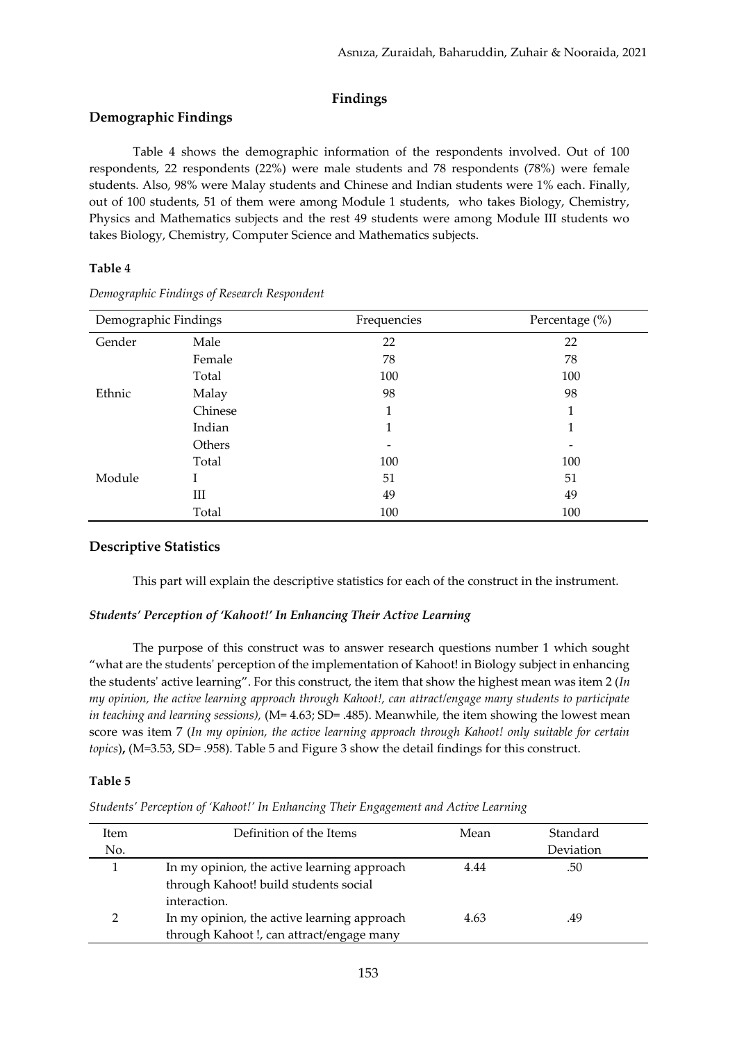## **Findings**

## **Demographic Findings**

Table 4 shows the demographic information of the respondents involved. Out of 100 respondents, 22 respondents (22%) were male students and 78 respondents (78%) were female students. Also, 98% were Malay students and Chinese and Indian students were 1% each. Finally, out of 100 students, 51 of them were among Module 1 students, who takes Biology, Chemistry, Physics and Mathematics subjects and the rest 49 students were among Module III students wo takes Biology, Chemistry, Computer Science and Mathematics subjects.

## **Table 4**

| Demographic Findings |         | Frequencies | Percentage (%) |
|----------------------|---------|-------------|----------------|
| Gender               | Male    | 22          | 22             |
|                      | Female  | 78          | 78             |
|                      | Total   | 100         | 100            |
| Ethnic               | Malay   | 98          | 98             |
|                      | Chinese | 1           | 1              |
|                      | Indian  | 1           | 1              |
|                      | Others  |             |                |
|                      | Total   | 100         | 100            |
| Module               | L       | 51          | 51             |
|                      | III     | 49          | 49             |
|                      | Total   | 100         | 100            |

*Demographic Findings of Research Respondent*

## **Descriptive Statistics**

This part will explain the descriptive statistics for each of the construct in the instrument.

### *Students' Perception of 'Kahoot!' In Enhancing Their Active Learning*

The purpose of this construct was to answer research questions number 1 which sought "what are the students' perception of the implementation of Kahoot! in Biology subject in enhancing the students' active learning". For this construct, the item that show the highest mean was item 2 (*In my opinion, the active learning approach through Kahoot!, can attract/engage many students to participate in teaching and learning sessions),* (M= 4.63; SD= .485). Meanwhile, the item showing the lowest mean score was item 7 (*In my opinion, the active learning approach through Kahoot! only suitable for certain topics*)**,** (M=3.53, SD= .958). Table 5 and Figure 3 show the detail findings for this construct.

### **Table 5**

*Students' Perception of 'Kahoot!' In Enhancing Their Engagement and Active Learning*

| Item | Definition of the Items                                                                              | Mean | Standard  |
|------|------------------------------------------------------------------------------------------------------|------|-----------|
| No.  |                                                                                                      |      | Deviation |
|      | In my opinion, the active learning approach<br>through Kahoot! build students social<br>interaction. | 4.44 | .50       |
|      | In my opinion, the active learning approach<br>through Kahoot!, can attract/engage many              | 4.63 | .49       |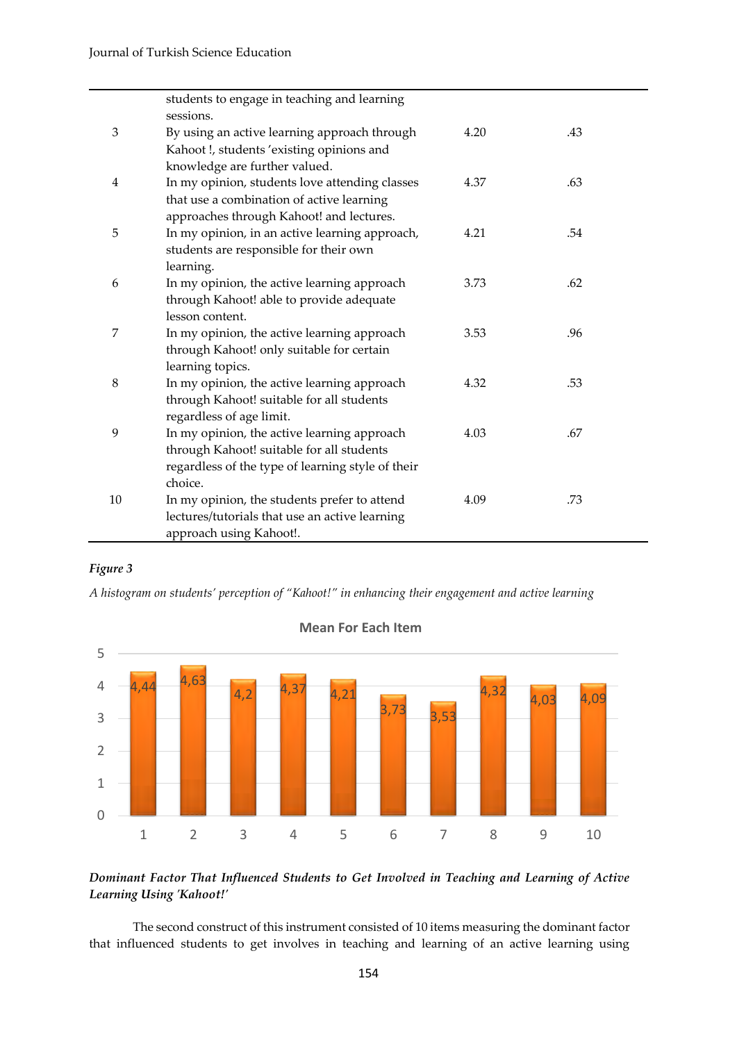|         | students to engage in teaching and learning                  |      |     |
|---------|--------------------------------------------------------------|------|-----|
|         | sessions.                                                    |      |     |
| 3       | By using an active learning approach through                 | 4.20 | .43 |
|         | Kahoot!, students 'existing opinions and                     |      |     |
|         | knowledge are further valued.                                |      |     |
| 4       | In my opinion, students love attending classes               | 4.37 | .63 |
|         | that use a combination of active learning                    |      |     |
|         | approaches through Kahoot! and lectures.                     |      |     |
| 5       | In my opinion, in an active learning approach,               | 4.21 | .54 |
|         | students are responsible for their own                       |      |     |
|         | learning.                                                    |      |     |
| 6       | In my opinion, the active learning approach                  | 3.73 | .62 |
|         | through Kahoot! able to provide adequate                     |      |     |
|         | lesson content.                                              |      |     |
| 7       | In my opinion, the active learning approach                  | 3.53 | .96 |
|         | through Kahoot! only suitable for certain                    |      |     |
|         | learning topics.                                             |      |     |
| $\,8\,$ | In my opinion, the active learning approach                  | 4.32 | .53 |
|         | through Kahoot! suitable for all students                    |      |     |
|         | regardless of age limit.                                     |      |     |
| 9       | In my opinion, the active learning approach                  | 4.03 | .67 |
|         | through Kahoot! suitable for all students                    |      |     |
|         | regardless of the type of learning style of their<br>choice. |      |     |
| 10      |                                                              |      |     |
|         | In my opinion, the students prefer to attend                 | 4.09 | .73 |
|         | lectures/tutorials that use an active learning               |      |     |
|         | approach using Kahoot!.                                      |      |     |

## *Figure 3*

*A histogram on students' perception of "Kahoot!" in enhancing their engagement and active learning*



**Mean For Each Item**

*Dominant Factor That Influenced Students to Get Involved in Teaching and Learning of Active Learning Using 'Kahoot!'*

The second construct of this instrument consisted of 10 items measuring the dominant factor that influenced students to get involves in teaching and learning of an active learning using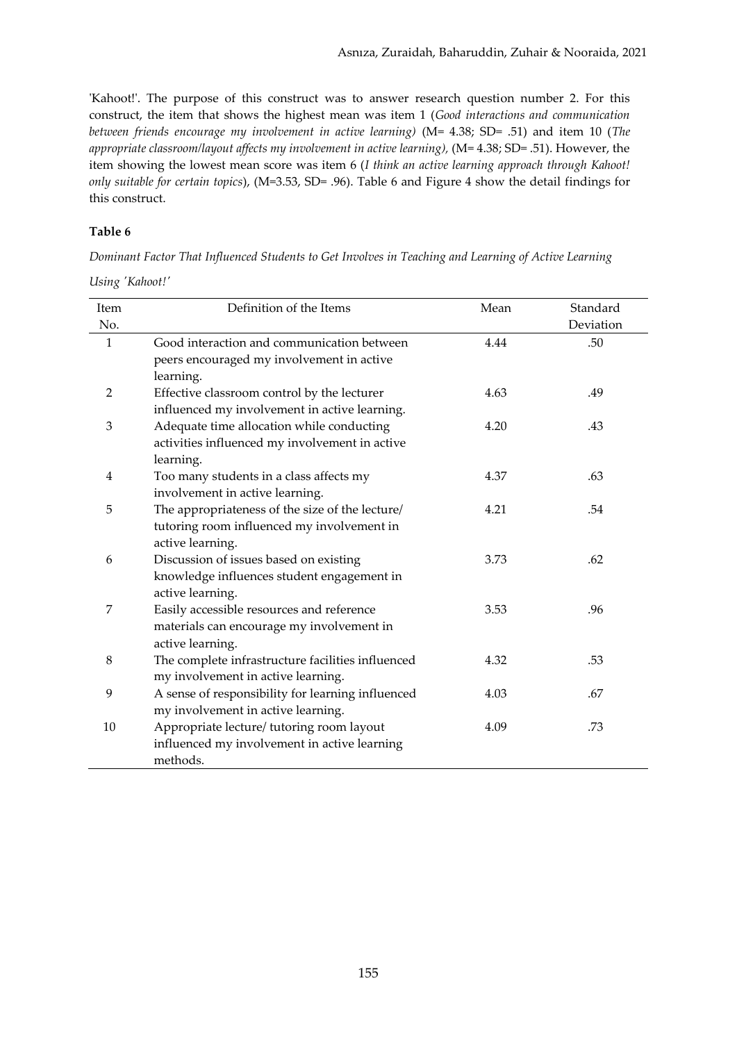'Kahoot!'. The purpose of this construct was to answer research question number 2. For this construct, the item that shows the highest mean was item 1 (*Good interactions and communication between friends encourage my involvement in active learning)* (M= 4.38; SD= .51) and item 10 (*The appropriate classroom/layout affects my involvement in active learning),* (M= 4.38; SD= .51). However, the item showing the lowest mean score was item 6 (*I think an active learning approach through Kahoot! only suitable for certain topics*), (M=3.53, SD= .96). Table 6 and Figure 4 show the detail findings for this construct.

## **Table 6**

*Dominant Factor That Influenced Students to Get Involves in Teaching and Learning of Active Learning* 

|  | Using 'Kahoot!' |
|--|-----------------|
|--|-----------------|

| Item         | Definition of the Items                           | Mean | Standard  |
|--------------|---------------------------------------------------|------|-----------|
| No.          |                                                   |      | Deviation |
| $\mathbf{1}$ | Good interaction and communication between        | 4.44 | .50       |
|              | peers encouraged my involvement in active         |      |           |
|              | learning.                                         |      |           |
| 2            | Effective classroom control by the lecturer       | 4.63 | .49       |
|              | influenced my involvement in active learning.     |      |           |
| 3            | Adequate time allocation while conducting         | 4.20 | .43       |
|              | activities influenced my involvement in active    |      |           |
|              | learning.                                         |      |           |
| 4            | Too many students in a class affects my           | 4.37 | .63       |
|              | involvement in active learning.                   |      |           |
| 5            | The appropriateness of the size of the lecture/   | 4.21 | .54       |
|              | tutoring room influenced my involvement in        |      |           |
|              | active learning.                                  |      |           |
| 6            | Discussion of issues based on existing            | 3.73 | .62       |
|              | knowledge influences student engagement in        |      |           |
|              | active learning.                                  |      |           |
| 7            | Easily accessible resources and reference         | 3.53 | .96       |
|              | materials can encourage my involvement in         |      |           |
|              | active learning.                                  |      |           |
| 8            | The complete infrastructure facilities influenced | 4.32 | .53       |
|              | my involvement in active learning.                |      |           |
| 9            | A sense of responsibility for learning influenced | 4.03 | .67       |
|              | my involvement in active learning.                |      |           |
| 10           | Appropriate lecture/ tutoring room layout         | 4.09 | .73       |
|              | influenced my involvement in active learning      |      |           |
|              | methods.                                          |      |           |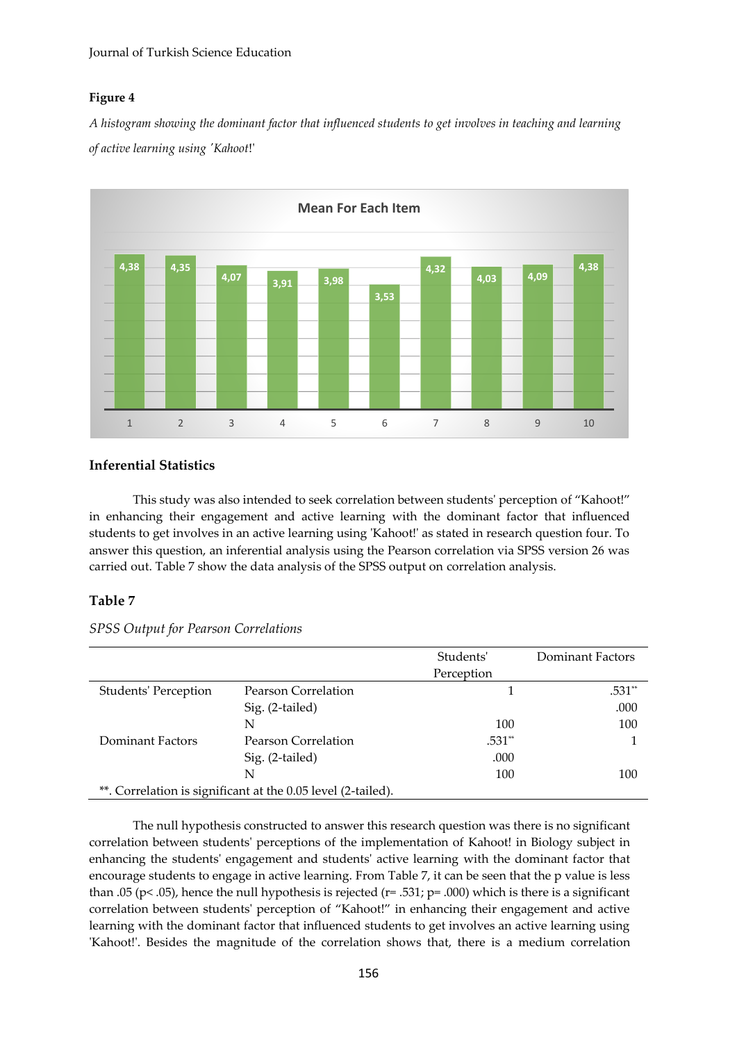## **Figure 4**

*A histogram showing the dominant factor that influenced students to get involves in teaching and learning of active learning using 'Kahoot*!'



## **Inferential Statistics**

This study was also intended to seek correlation between students' perception of "Kahoot!" in enhancing their engagement and active learning with the dominant factor that influenced students to get involves in an active learning using 'Kahoot!' as stated in research question four. To answer this question, an inferential analysis using the Pearson correlation via SPSS version 26 was carried out. Table 7 show the data analysis of the SPSS output on correlation analysis.

## **Table 7**

*SPSS Output for Pearson Correlations*

|                             |                                                              | Students'  | Dominant Factors |
|-----------------------------|--------------------------------------------------------------|------------|------------------|
|                             |                                                              | Perception |                  |
| <b>Students' Perception</b> | Pearson Correlation                                          |            | .531**           |
|                             | Sig. (2-tailed)                                              |            | .000             |
|                             | N                                                            | 100        | 100              |
| Dominant Factors            | Pearson Correlation                                          | .531**     |                  |
|                             | Sig. (2-tailed)                                              | .000       |                  |
|                             | N                                                            | 100        | 100              |
|                             | **. Correlation is significant at the 0.05 level (2-tailed). |            |                  |

The null hypothesis constructed to answer this research question was there is no significant correlation between students' perceptions of the implementation of Kahoot! in Biology subject in enhancing the students' engagement and students' active learning with the dominant factor that encourage students to engage in active learning. From Table 7, it can be seen that the p value is less than .05 (p< .05), hence the null hypothesis is rejected ( $r=$  .531;  $p=$  .000) which is there is a significant correlation between students' perception of "Kahoot!" in enhancing their engagement and active learning with the dominant factor that influenced students to get involves an active learning using 'Kahoot!'. Besides the magnitude of the correlation shows that, there is a medium correlation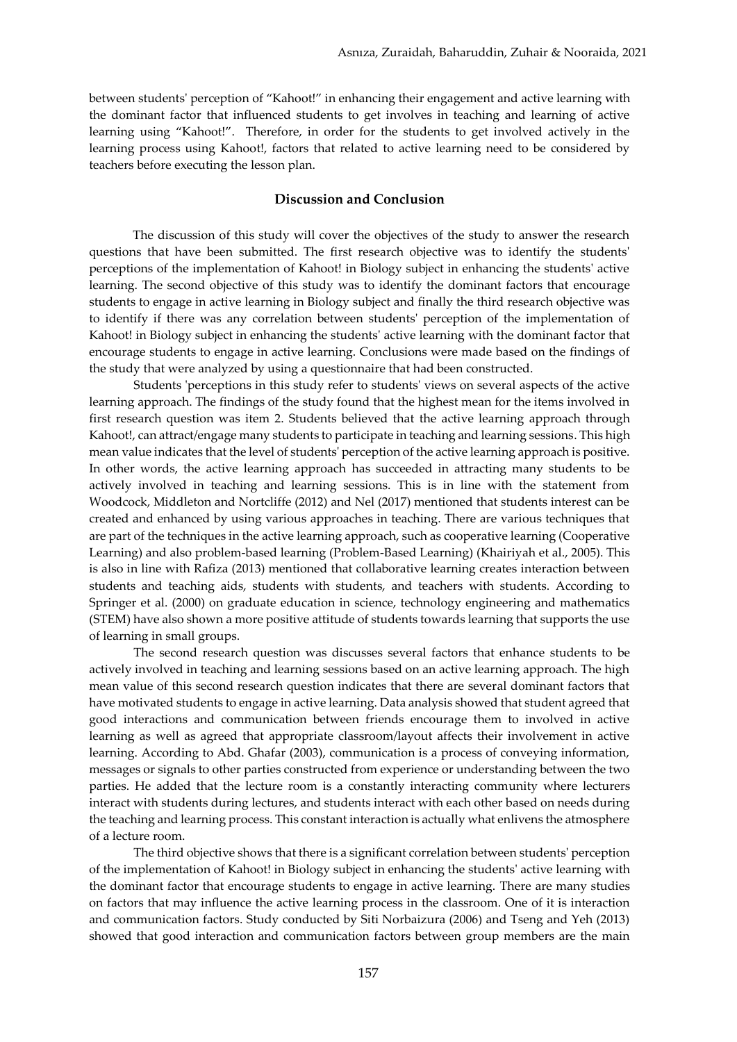between students' perception of "Kahoot!" in enhancing their engagement and active learning with the dominant factor that influenced students to get involves in teaching and learning of active learning using "Kahoot!". Therefore, in order for the students to get involved actively in the learning process using Kahoot!, factors that related to active learning need to be considered by teachers before executing the lesson plan.

## **Discussion and Conclusion**

The discussion of this study will cover the objectives of the study to answer the research questions that have been submitted. The first research objective was to identify the students' perceptions of the implementation of Kahoot! in Biology subject in enhancing the students' active learning. The second objective of this study was to identify the dominant factors that encourage students to engage in active learning in Biology subject and finally the third research objective was to identify if there was any correlation between students' perception of the implementation of Kahoot! in Biology subject in enhancing the students' active learning with the dominant factor that encourage students to engage in active learning. Conclusions were made based on the findings of the study that were analyzed by using a questionnaire that had been constructed.

Students 'perceptions in this study refer to students' views on several aspects of the active learning approach. The findings of the study found that the highest mean for the items involved in first research question was item 2. Students believed that the active learning approach through Kahoot!, can attract/engage many students to participate in teaching and learning sessions. This high mean value indicates that the level of students' perception of the active learning approach is positive. In other words, the active learning approach has succeeded in attracting many students to be actively involved in teaching and learning sessions. This is in line with the statement from Woodcock, Middleton and Nortcliffe (2012) and Nel (2017) mentioned that students interest can be created and enhanced by using various approaches in teaching. There are various techniques that are part of the techniques in the active learning approach, such as cooperative learning (Cooperative Learning) and also problem-based learning (Problem-Based Learning) (Khairiyah et al., 2005). This is also in line with Rafiza (2013) mentioned that collaborative learning creates interaction between students and teaching aids, students with students, and teachers with students. According to Springer et al. (2000) on graduate education in science, technology engineering and mathematics (STEM) have also shown a more positive attitude of students towards learning that supports the use of learning in small groups.

The second research question was discusses several factors that enhance students to be actively involved in teaching and learning sessions based on an active learning approach. The high mean value of this second research question indicates that there are several dominant factors that have motivated students to engage in active learning. Data analysis showed that student agreed that good interactions and communication between friends encourage them to involved in active learning as well as agreed that appropriate classroom/layout affects their involvement in active learning. According to Abd. Ghafar (2003), communication is a process of conveying information, messages or signals to other parties constructed from experience or understanding between the two parties. He added that the lecture room is a constantly interacting community where lecturers interact with students during lectures, and students interact with each other based on needs during the teaching and learning process. This constant interaction is actually what enlivens the atmosphere of a lecture room.

The third objective shows that there is a significant correlation between students' perception of the implementation of Kahoot! in Biology subject in enhancing the students' active learning with the dominant factor that encourage students to engage in active learning. There are many studies on factors that may influence the active learning process in the classroom. One of it is interaction and communication factors. Study conducted by Siti Norbaizura (2006) and Tseng and Yeh (2013) showed that good interaction and communication factors between group members are the main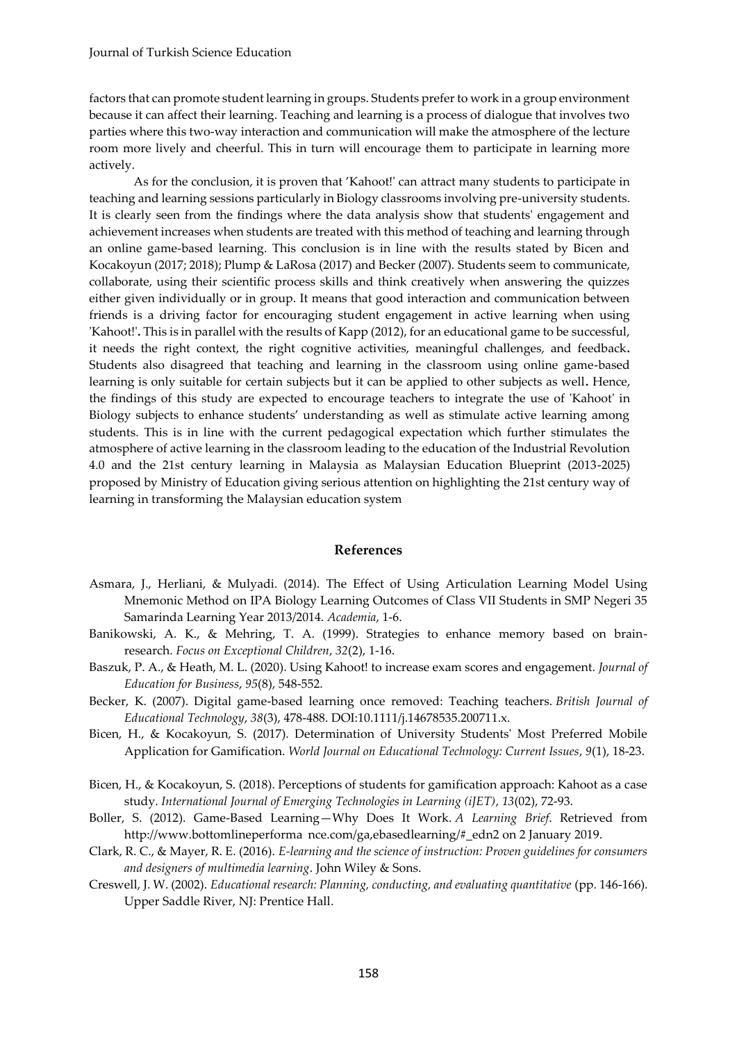factors that can promote student learning in groups. Students prefer to work in a group environment because it can affect their learning. Teaching and learning is a process of dialogue that involves two parties where this two-way interaction and communication will make the atmosphere of the lecture room more lively and cheerful. This in turn will encourage them to participate in learning more actively.

As for the conclusion, it is proven that 'Kahoot!' can attract many students to participate in teaching and learning sessions particularly in Biology classrooms involving pre-university students. It is clearly seen from the findings where the data analysis show that students' engagement and achievement increases when students are treated with this method of teaching and learning through an online game-based learning. This conclusion is in line with the results stated by Bicen and Kocakoyun (2017; 2018); Plump & LaRosa (2017) and Becker (2007). Students seem to communicate, collaborate, using their scientific process skills and think creatively when answering the quizzes either given individually or in group. It means that good interaction and communication between friends is a driving factor for encouraging student engagement in active learning when using 'Kahoot!'**.** This is in parallel with the results of Kapp (2012), for an educational game to be successful, it needs the right context, the right cognitive activities, meaningful challenges, and feedback**.**  Students also disagreed that teaching and learning in the classroom using online game-based learning is only suitable for certain subjects but it can be applied to other subjects as well**.** Hence, the findings of this study are expected to encourage teachers to integrate the use of 'Kahoot' in Biology subjects to enhance students' understanding as well as stimulate active learning among students. This is in line with the current pedagogical expectation which further stimulates the atmosphere of active learning in the classroom leading to the education of the Industrial Revolution 4.0 and the 21st century learning in Malaysia as Malaysian Education Blueprint (2013-2025) proposed by Ministry of Education giving serious attention on highlighting the 21st century way of learning in transforming the Malaysian education system

### **References**

- Asmara, J., Herliani, & Mulyadi. (2014). The Effect of Using Articulation Learning Model Using Mnemonic Method on IPA Biology Learning Outcomes of Class VII Students in SMP Negeri 35 Samarinda Learning Year 2013/2014. *Academia*, 1-6.
- Banikowski, A. K., & Mehring, T. A. (1999). Strategies to enhance memory based on brainresearch. *Focus on Exceptional Children*, *32*(2), 1-16.
- Baszuk, P. A., & Heath, M. L. (2020). Using Kahoot! to increase exam scores and engagement. *Journal of Education for Business*, *95*(8), 548-552.
- Becker, K. (2007). Digital game‐based learning once removed: Teaching teachers. *British Journal of Educational Technology*, *38*(3), 478-488. DOI:10.1111/j.14678535.200711.x.
- Bicen, H., & Kocakoyun, S. (2017). Determination of University Students' Most Preferred Mobile Application for Gamification. *World Journal on Educational Technology: Current Issues*, *9*(1), 18-23.
- Bicen, H., & Kocakoyun, S. (2018). Perceptions of students for gamification approach: Kahoot as a case study. *International Journal of Emerging Technologies in Learning (iJET)*, *13*(02), 72-93.
- Boller, S. (2012). Game-Based Learning—Why Does It Work. *A Learning Brief*. Retrieved from http://www.bottomlineperforma nce.com/ga,ebasedlearning/#\_edn2 on 2 January 2019.
- Clark, R. C., & Mayer, R. E. (2016). *E-learning and the science of instruction: Proven guidelines for consumers and designers of multimedia learning*. John Wiley & Sons.
- Creswell, J. W. (2002). *Educational research: Planning, conducting, and evaluating quantitative* (pp. 146-166). Upper Saddle River, NJ: Prentice Hall.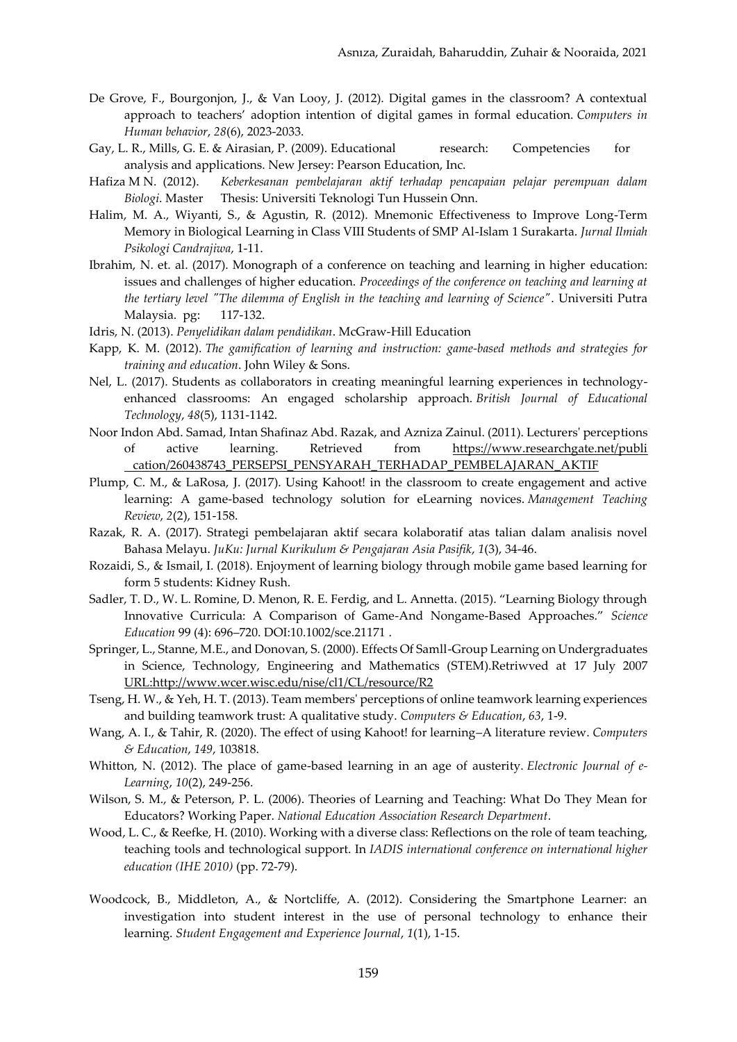- De Grove, F., Bourgonjon, J., & Van Looy, J. (2012). Digital games in the classroom? A contextual approach to teachers' adoption intention of digital games in formal education. *Computers in Human behavior*, *28*(6), 2023-2033.
- Gay, L. R., Mills, G. E. & Airasian, P. (2009). Educational research: Competencies for analysis and applications. New Jersey: Pearson Education, Inc.
- Hafiza M N. (2012). *Keberkesanan pembelajaran aktif terhadap pencapaian pelajar perempuan dalam Biologi*. Master Thesis: Universiti Teknologi Tun Hussein Onn.
- Halim, M. A., Wiyanti, S., & Agustin, R. (2012). Mnemonic Effectiveness to Improve Long-Term Memory in Biological Learning in Class VIII Students of SMP Al-Islam 1 Surakarta. *Jurnal Ilmiah Psikologi Candrajiwa*, 1-11.
- Ibrahim, N. et. al. (2017). Monograph of a conference on teaching and learning in higher education: issues and challenges of higher education. *Proceedings of the conference on teaching and learning at the tertiary level "The dilemma of English in the teaching and learning of Science"*. Universiti Putra Malaysia. pg: 117-132.
- Idris, N. (2013). *Penyelidikan dalam pendidikan*. McGraw-Hill Education
- Kapp, K. M. (2012). *The gamification of learning and instruction: game-based methods and strategies for training and education*. John Wiley & Sons.
- Nel, L. (2017). Students as collaborators in creating meaningful learning experiences in technologyenhanced classrooms: An engaged scholarship approach. *British Journal of Educational Technology*, *48*(5), 1131-1142.
- Noor Indon Abd. Samad, Intan Shafinaz Abd. Razak, and Azniza Zainul. (2011). Lecturers' perceptions of active learning. Retrieved from [https://www.researchgate.net/publi](https://www.researchgate.net/publication/260438743_PERSEPSI_PENSYARAH_TERHADAP_PEMBELAJARAN_AKTIF) [cation/260438743\\_PERSEPSI\\_PENSYARAH\\_TERHADAP\\_PEMBELAJARAN\\_AKTIF](https://www.researchgate.net/publication/260438743_PERSEPSI_PENSYARAH_TERHADAP_PEMBELAJARAN_AKTIF)
- Plump, C. M., & LaRosa, J. (2017). Using Kahoot! in the classroom to create engagement and active learning: A game-based technology solution for eLearning novices. *Management Teaching Review*, *2*(2), 151-158.
- Razak, R. A. (2017). Strategi pembelajaran aktif secara kolaboratif atas talian dalam analisis novel Bahasa Melayu. *JuKu: Jurnal Kurikulum & Pengajaran Asia Pasifik*, *1*(3), 34-46.
- Rozaidi, S., & Ismail, I. (2018). Enjoyment of learning biology through mobile game based learning for form 5 students: Kidney Rush.
- Sadler, T. D., W. L. Romine, D. Menon, R. E. Ferdig, and L. Annetta. (2015). "Learning Biology through Innovative Curricula: A Comparison of Game-And Nongame-Based Approaches." *Science Education* 99 (4): 696–720. DOI:10.1002/sce.21171 .
- Springer, L., Stanne, M.E., and Donovan, S. (2000). Effects Of Samll-Group Learning on Undergraduates in Science, Technology, Engineering and Mathematics (STEM).Retriwved at 17 July 2007 [URL:http://www.wcer.wisc.edu/nise/cl1/CL/resource/R2](http://www.wcer.wisc.edu/nise/cl1/CL/resource/R2)
- Tseng, H. W., & Yeh, H. T. (2013). Team members' perceptions of online teamwork learning experiences and building teamwork trust: A qualitative study. *Computers & Education*, *63*, 1-9.
- Wang, A. I., & Tahir, R. (2020). The effect of using Kahoot! for learning–A literature review. *Computers & Education*, *149*, 103818.
- Whitton, N. (2012). The place of game-based learning in an age of austerity. *Electronic Journal of e-Learning*, *10*(2), 249-256.
- Wilson, S. M., & Peterson, P. L. (2006). Theories of Learning and Teaching: What Do They Mean for Educators? Working Paper. *National Education Association Research Department*.
- Wood, L. C., & Reefke, H. (2010). Working with a diverse class: Reflections on the role of team teaching, teaching tools and technological support. In *IADIS international conference on international higher education (IHE 2010)* (pp. 72-79).
- Woodcock, B., Middleton, A., & Nortcliffe, A. (2012). Considering the Smartphone Learner: an investigation into student interest in the use of personal technology to enhance their learning. *Student Engagement and Experience Journal*, *1*(1), 1-15.